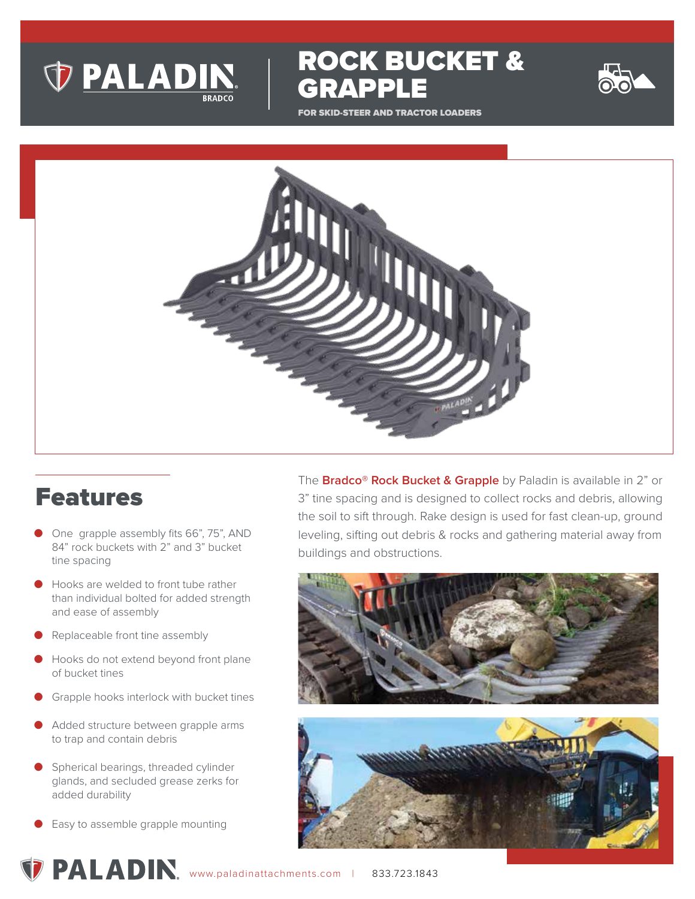

GRAPPLE

ROCK BUCKET &

FOR SKID-STEER AND TRACTOR LOADERS



## Features

- One grapple assembly fits 66", 75", AND 84" rock buckets with 2" and 3" bucket tine spacing
- Hooks are welded to front tube rather than individual bolted for added strength and ease of assembly
- Replaceable front tine assembly
- Hooks do not extend beyond front plane of bucket tines
- Grapple hooks interlock with bucket tines
- Added structure between grapple arms to trap and contain debris
- Spherical bearings, threaded cylinder glands, and secluded grease zerks for added durability
- Easy to assemble grapple mounting

The **Bradco® Rock Bucket & Grapple** by Paladin is available in 2" or 3" tine spacing and is designed to collect rocks and debris, allowing the soil to sift through. Rake design is used for fast clean-up, ground leveling, sifting out debris & rocks and gathering material away from buildings and obstructions.